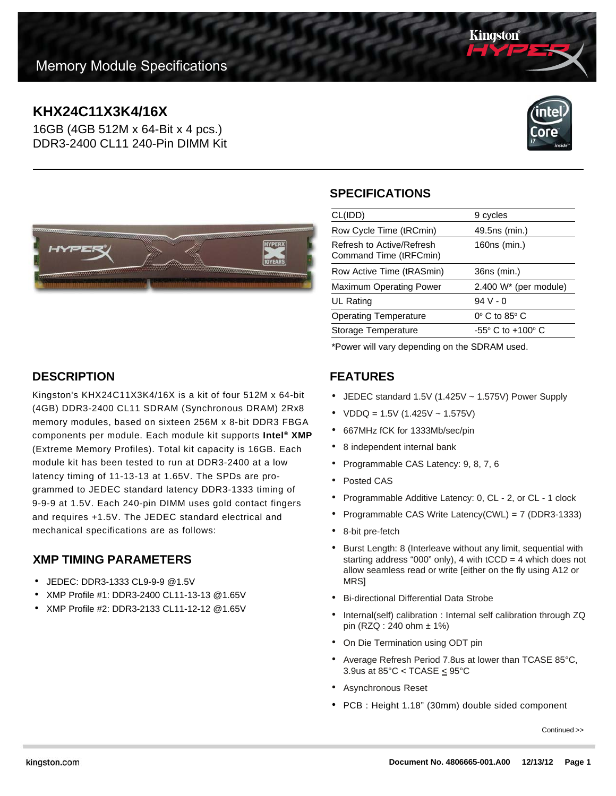# **KHX24C11X3K4/16X**

16GB (4GB 512M x 64-Bit x 4 pcs.) DDR3-2400 CL11 240-Pin DIMM Kit



Kingston



## **SPECIFICATIONS**

| CL(IDD)                                             | 9 cycles                        |
|-----------------------------------------------------|---------------------------------|
| Row Cycle Time (tRCmin)                             | 49.5ns (min.)                   |
| Refresh to Active/Refresh<br>Command Time (tRFCmin) | 160ns (min.)                    |
| Row Active Time (tRASmin)                           | 36ns (min.)                     |
| <b>Maximum Operating Power</b>                      | $2.400 W^*$ (per module)        |
| UL Rating                                           | $94V - 0$                       |
| <b>Operating Temperature</b>                        | $0^\circ$ C to 85 $^\circ$ C    |
| Storage Temperature                                 | $-55^\circ$ C to $+100^\circ$ C |
|                                                     |                                 |

\*Power will vary depending on the SDRAM used.

### **FEATURES**

- JEDEC standard 1.5V (1.425V ~ 1.575V) Power Supply
- $VDDQ = 1.5V (1.425V 1.575V)$
- 667MHz fCK for 1333Mb/sec/pin
- 8 independent internal bank
- Programmable CAS Latency: 9, 8, 7, 6
- Posted CAS
- Programmable Additive Latency: 0, CL 2, or CL 1 clock
- Programmable CAS Write Latency(CWL) = 7 (DDR3-1333)
- 8-bit pre-fetch
- Burst Length: 8 (Interleave without any limit, sequential with starting address "000" only), 4 with  $tCCD = 4$  which does not allow seamless read or write [either on the fly using A12 or MRS]
- Bi-directional Differential Data Strobe
- Internal(self) calibration : Internal self calibration through ZQ pin (RZQ : 240 ohm ± 1%)
- On Die Termination using ODT pin
- Average Refresh Period 7.8us at lower than TCASE 85°C, 3.9us at 85°C < TCASE < 95°C
- Asynchronous Reset
- PCB : Height 1.18" (30mm) double sided component

Continued >>

**DESCRIPTION**

Kingston's KHX24C11X3K4/16X is a kit of four 512M x 64-bit (4GB) DDR3-2400 CL11 SDRAM (Synchronous DRAM) 2Rx8 memory modules, based on sixteen 256M x 8-bit DDR3 FBGA components per module. Each module kit supports **Intel® XMP** (Extreme Memory Profiles). Total kit capacity is 16GB. Each module kit has been tested to run at DDR3-2400 at a low latency timing of 11-13-13 at 1.65V. The SPDs are programmed to JEDEC standard latency DDR3-1333 timing of 9-9-9 at 1.5V. Each 240-pin DIMM uses gold contact fingers and requires +1.5V. The JEDEC standard electrical and mechanical specifications are as follows:

## **XMP TIMING PARAMETERS**

- JEDEC: DDR3-1333 CL9-9-9 @1.5V
- XMP Profile #1: DDR3-2400 CL11-13-13 @1.65V
- XMP Profile #2: DDR3-2133 CL11-12-12 @1.65V